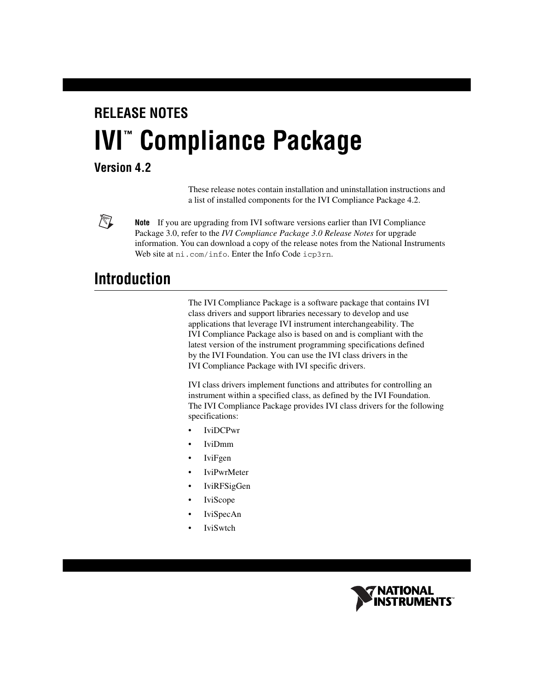# **RELEASE NOTES IVI**" Compliance Package

#### **Version 4.2**

These release notes contain installation and uninstallation instructions and a list of installed components for the IVI Compliance Package 4.2.

 $\mathbb{N}$ 

**Note** If you are upgrading from IVI software versions earlier than IVI Compliance Package 3.0, refer to the *IVI Compliance Package 3.0 Release Notes* for upgrade information. You can download a copy of the release notes from the National Instruments Web site at ni.com/info. Enter the Info Code icp3rn.

## **Introduction**

The IVI Compliance Package is a software package that contains IVI class drivers and support libraries necessary to develop and use applications that leverage IVI instrument interchangeability. The IVI Compliance Package also is based on and is compliant with the latest version of the instrument programming specifications defined by the IVI Foundation. You can use the IVI class drivers in the IVI Compliance Package with IVI specific drivers.

IVI class drivers implement functions and attributes for controlling an instrument within a specified class, as defined by the IVI Foundation. The IVI Compliance Package provides IVI class drivers for the following specifications:

- IviDCPwr
- IviDmm
- IviFgen
- IviPwrMeter
- IviRFSigGen
- **IviScope**
- IviSpecAn
- IviSwtch

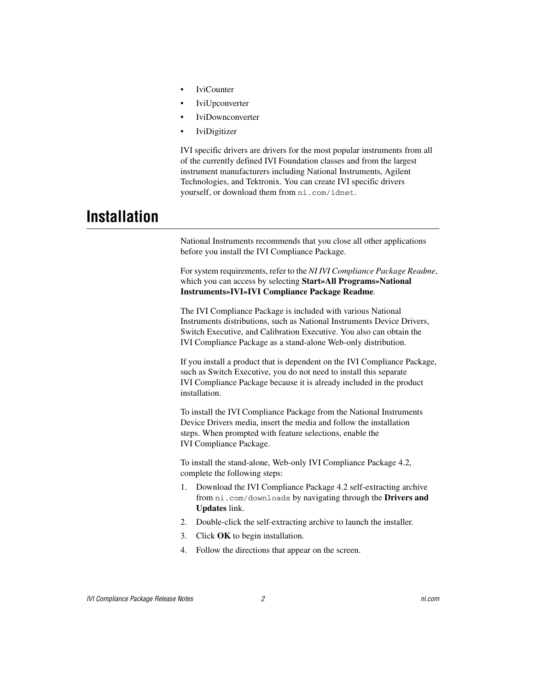- **IviCounter**
- **IviUpconverter**
- IviDownconverter
- IviDigitizer

IVI specific drivers are drivers for the most popular instruments from all of the currently defined IVI Foundation classes and from the largest instrument manufacturers including National Instruments, Agilent Technologies, and Tektronix. You can create IVI specific drivers yourself, or download them from ni.com/idnet.

### **Installation**

National Instruments recommends that you close all other applications before you install the IVI Compliance Package.

For system requirements, refer to the *NI IVI Compliance Package Readme*, which you can access by selecting **Start»All Programs»National Instruments»IVI»IVI Compliance Package Readme**.

The IVI Compliance Package is included with various National Instruments distributions, such as National Instruments Device Drivers, Switch Executive, and Calibration Executive. You also can obtain the IVI Compliance Package as a stand-alone Web-only distribution.

If you install a product that is dependent on the IVI Compliance Package, such as Switch Executive, you do not need to install this separate IVI Compliance Package because it is already included in the product installation.

To install the IVI Compliance Package from the National Instruments Device Drivers media, insert the media and follow the installation steps. When prompted with feature selections, enable the IVI Compliance Package.

To install the stand-alone, Web-only IVI Compliance Package 4.2, complete the following steps:

- 1. Download the IVI Compliance Package 4.2 self-extracting archive from ni.com/downloads by navigating through the **Drivers and Updates** link.
- 2. Double-click the self-extracting archive to launch the installer.
- 3. Click **OK** to begin installation.
- 4. Follow the directions that appear on the screen.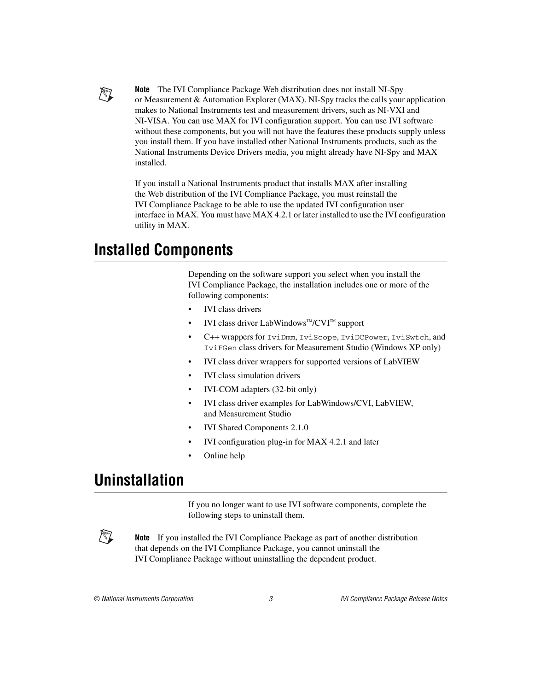

**Note** The IVI Compliance Package Web distribution does not install NI-Spy or Measurement & Automation Explorer (MAX). NI-Spy tracks the calls your application makes to National Instruments test and measurement drivers, such as NI-VXI and NI-VISA. You can use MAX for IVI configuration support. You can use IVI software without these components, but you will not have the features these products supply unless you install them. If you have installed other National Instruments products, such as the National Instruments Device Drivers media, you might already have NI-Spy and MAX installed.

If you install a National Instruments product that installs MAX after installing the Web distribution of the IVI Compliance Package, you must reinstall the IVI Compliance Package to be able to use the updated IVI configuration user interface in MAX. You must have MAX 4.2.1 or later installed to use the IVI configuration utility in MAX.

## **Installed Components**

Depending on the software support you select when you install the IVI Compliance Package, the installation includes one or more of the following components:

- IVI class drivers
- IVI class driver LabWindows™/CVI™ support
- C++ wrappers for IviDmm, IviScope, IviDCPower, IviSwtch, and IviFGen class drivers for Measurement Studio (Windows XP only)
- IVI class driver wrappers for supported versions of LabVIEW
- IVI class simulation drivers
- IVI-COM adapters (32-bit only)
- IVI class driver examples for LabWindows/CVI, LabVIEW, and Measurement Studio
- IVI Shared Components 2.1.0
- IVI configuration plug-in for MAX 4.2.1 and later
- Online help

## **Uninstallation**

If you no longer want to use IVI software components, complete the following steps to uninstall them.

 $\mathbb{N}$ 

**Note** If you installed the IVI Compliance Package as part of another distribution that depends on the IVI Compliance Package, you cannot uninstall the IVI Compliance Package without uninstalling the dependent product.